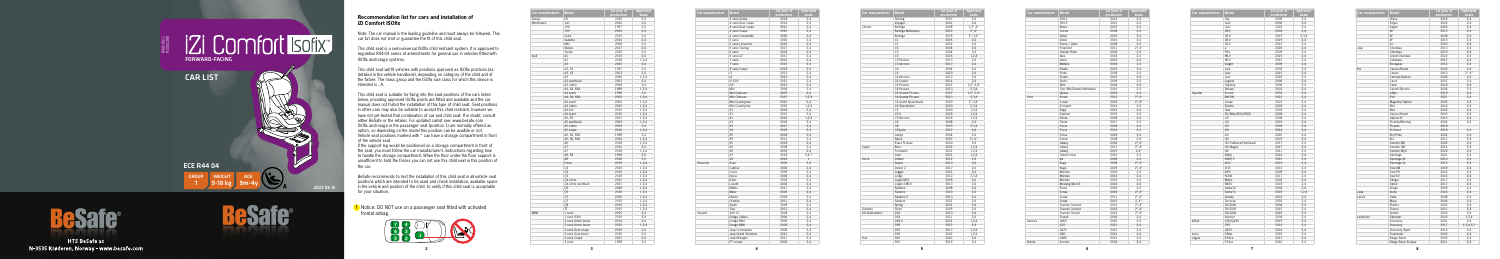**5**

| Car manufacturer | <b>Model</b>          | 1st year of | Approved |
|------------------|-----------------------|-------------|----------|
|                  |                       | production  | seats    |
| Aiwavs           | U <sub>5</sub>        | 2020        | 2,4      |
| Alfa Romeo       | 147                   | 2000        | 2,4      |
|                  | 156                   | 1997        | 2,4      |
|                  | 159                   | 2006        | 2,4      |
|                  | Giulia                | 2015        | 2,4      |
|                  | Giulietta             | 2010        | 2,4      |
|                  | Mito                  | 2008        | 2,4      |
|                  | Stelvio               | 2017        | 2,4      |
|                  | Tonale                | 2022        | 2,4      |
| Audi             | A1                    | 2010        | 2,4      |
|                  | A1                    | 2018        | 1,2,4    |
|                  | A2                    | 2000        | 2,4      |
|                  | A3. S3                | 1997        | 2,4      |
|                  | A3, S3                | 2003        | 2,4      |
|                  | A <sub>3</sub>        |             |          |
|                  |                       | 2020        | 1,2,4    |
|                  | A3 sportback          | 2003        | 2,4      |
|                  | A3 cabrio             | 2008        | 2,4      |
|                  | A4, S4, RS4           | 1998        | 1,2,4    |
|                  | A4 avant              | 1996        | 2,4      |
|                  | A4, S4, RS4           | 2000        | 1,2,4    |
|                  | A4 avant              | 2000        | 1,2,4    |
|                  | A4 cabrio             | 2002        | 1,2,4    |
|                  | A4 imo                | 2015        | 1,2,4    |
|                  | A4 avant              | 2015        | 1,2,4    |
|                  | A5, S5                | 2007        | 1,2,4    |
|                  | A5 sportback          | 2009        | 1,2,4    |
|                  | A5 cabrio             | 2009        | 2,4      |
|                  | A5 coupe              | 2016        | 1,2,4    |
|                  | A6, S6, RS6           | 1998        | 2,4      |
|                  | A6, S6, RS6           | 2004        | 1,2,4    |
|                  | A6                    | 2018        | 1,2,4    |
|                  | A7                    | 2010        | 2,4      |
|                  | A7                    | 2018        | 1,2,4    |
|                  | A8, S8                | 1998        | 2,4      |
|                  |                       |             |          |
|                  | A8                    | 2018        | 2,4      |
|                  | E-tron                | 2019        | 1,2,4    |
|                  | 02                    | 2016        | 1,2,4    |
|                  | Q3                    | 2010        | 1,2,4    |
|                  | Q3                    | 2018        | 1,2,4    |
|                  | Q4 e-tron             | 2021        | 1,2,4    |
|                  | Q4 e-tron sportback   | 2021        | 1,2,4    |
|                  | 05                    | 2008        | 1,2,4    |
|                  | Q5                    | 2016        | 1,2,4    |
|                  | 07                    | 2006        | 1,2,4    |
|                  | Q7                    | 2015        | 1,2,4    |
|                  | 08                    | 2019        | 1,2,4    |
|                  | TT.                   | 2015        | 1,2,4    |
| <b>BMW</b>       | 1 serie               | 2005        | 2,4      |
|                  | 1 serie (F40)         | 2019        | 2,4      |
|                  | 2 serie Active tourer | 2014        | 2,4      |
|                  | 2 serie Active tourer | 2022        | 1,2,4    |
|                  | 2 serie Gran coupe    | 2019        | 2,4      |
|                  | 2 serie Gran tourer   | 2015        | 2,4      |
|                  |                       |             |          |
|                  | 2 serie Coupe         | 2021        | 2,4      |
|                  | 3 serie               | 1998        | 2,4      |

| Car manufacturer | <b>Model</b>        | 1st year of<br>production | <b>Approved</b><br>seats |
|------------------|---------------------|---------------------------|--------------------------|
|                  | 3 serie Sedan       | 2018                      | 2,4                      |
|                  | 4 serie Gran coupe  | 2014                      | 2,4                      |
|                  | 4 serie Gran coupe  | 2021                      | 2,4                      |
|                  | 4 serie Coupe       | 2020                      | 2,4                      |
|                  | 4 serie Convertible | 2020                      | 2,4                      |
|                  | 5 serie             | 2000                      | 2,4                      |
|                  | 5 serie Limousine   | 2016                      | 2,4                      |
|                  | 5 serie Touring     | 2017                      | 2,4                      |
|                  | 6 serie             | 2003                      | 2,4                      |
|                  | 6 serie GT          | 2017                      | 2,4                      |
|                  | 7 serie             | 2001                      | 2,4                      |
|                  | 7 serie             | 2015                      | 2,4                      |
|                  | 8 serie Coupe       | 2018                      | 2,4                      |
|                  | i3                  | 2013                      | 2,4                      |
|                  | 4                   | 2021                      | 2,4                      |
|                  | iX (i20)            |                           |                          |
|                  |                     | 2021                      | 2.4                      |
|                  | iX3                 | 2021                      | 2,4                      |
|                  | Mini                | 2006                      | 2,4                      |
|                  | Mini Clubman        | 2007                      | 2,4                      |
|                  | Mini Clubman        | 2015                      | 1,2,4                    |
|                  | Mini Countryman     | 2010                      | 2,4                      |
|                  | Mini Countryman     | 2016                      | 1,2,4                    |
|                  | X1                  | 2004                      | 2,4                      |
|                  | X1                  | 2015                      | 2,4                      |
|                  | X1                  | 2022                      | 1,2,4                    |
|                  | X3                  | 2004                      | 2,4                      |
|                  | X3                  | 2017                      | 2,4                      |
|                  | X4                  | 2018                      | 2,4                      |
|                  | X5                  | 2004                      | 2,4                      |
|                  | X5                  | 2013                      | 2,4                      |
|                  | X5                  | 2018                      | 2,4                      |
|                  | <b>X6</b>           | 2008                      | 2,4                      |
|                  | X6                  | 2019                      | 2,4                      |
|                  | X7                  | 2018                      | 2,4,7                    |
|                  | Z4                  | 2018                      | $\mathbf{1}$             |
| Chevrolet        | Aveo                | 2006                      | 2.4                      |
|                  | Captiva             | 2006                      | 2,4                      |
|                  | Cruze               | 2009                      | 2,4                      |
|                  | Epica               | 2006                      | 2,4                      |
|                  | Kalos               | 2002                      | 2,4                      |
|                  | Lacetti             | 2004                      |                          |
|                  |                     |                           | 2,4                      |
|                  | Malibu              | 2011                      | 2,4                      |
|                  | Matiz               | 2005                      | 2,4                      |
|                  | Nubira              | 2009                      | 2,4                      |
|                  | Orlando             | 2011                      | 2,4                      |
|                  | Spark               | 2009                      | 2,4                      |
|                  | Trax                | 2013                      | 2,4                      |
| Chrysler         | 300 CC              | 2008                      | 2,4                      |
|                  | Dodge Caliber       | 2006                      | 2,4                      |
|                  | Dodge Nitro         | 2006                      | 2,4                      |
|                  | Dodge RAM           | 2002                      | 2.4                      |
|                  | Jeep Commander      | 2006                      | 2,4                      |
|                  | Jeep Grand Cherokee | 2010                      | 2,4                      |
|                  | Jeep Wrangler       | 2011                      | 2,4                      |
|                  | PT cruiser          | 2000                      | 2,4                      |
|                  |                     |                           |                          |

If the support leg would be positioned on a storage compartment in front of the seat, you must follow the car manufacturer's instructions regarding how to handle the storage compartment. When the floor under the floor support is unsufficient to hold the forces you can not use this child seat in this position of the car.

| Car manufacturer      | <b>Model</b>         | 1st year of<br>production | <b>Approved</b><br>seats       |
|-----------------------|----------------------|---------------------------|--------------------------------|
|                       | Sebring              | 2007                      | 2,4                            |
|                       | Voyager              | 2001                      | 2.4                            |
| Citroën               | Berlingo             | 2008                      | $1,2^{\star},4^{\star}$        |
|                       | Berlingo Multispace  | 2012                      | $2^{\star}$ ,4 $^{\star}$      |
|                       | Berlingo             | 2018                      | $2^{\star}$ , 3, 4 $^{\star}$  |
|                       | C1                   | 2005                      | 2,4                            |
|                       | C1                   | 2014                      | 2,4                            |
|                       | C <sub>2</sub>       | 2004                      | 2,4                            |
|                       | C <sub>3</sub>       | 2004                      | 2,4                            |
|                       | C <sub>3</sub>       | 2016                      | 1,2,4                          |
|                       | C3 Picasso           | 2013                      | 2,4                            |
|                       | C3 Aircross          | 2017                      | 2,4                            |
|                       | C <sub>4</sub>       | 2004                      | 2,4                            |
|                       | C <sub>4</sub>       | 2020                      |                                |
|                       | C4 Aircross          | 2012                      | 2,4                            |
|                       | C4 Cactus            | 2014                      | 2,4<br>2,4                     |
|                       |                      |                           |                                |
|                       | C4 Picasso           | 2007                      | $1, 2^*, 3, 4^*$               |
|                       | C4 Picasso           | 2013                      | 2,3,4                          |
|                       | C4 Grande Picasso    | 2007                      | $1,2^{\star}$ , 3,4 $^{\star}$ |
|                       | C4 Grande Picasso    | 2013                      | 2,3,4                          |
|                       | C4 Grand Spacetourer | 2020                      | $2^{\star}$ , 3,4 $^{\star}$   |
|                       | C4 Spacetourer       | 2020                      | 2,3,4                          |
|                       | C <sub>5</sub>       | 2000                      | 1,2,4                          |
|                       | C5X                  | 2022                      | 1,2,4                          |
|                       | C5 Aircross          | 2018                      | 1,2,4                          |
|                       | C6                   | 2008                      | 2,4                            |
|                       | C8                   | 2003                      | 2,3,4                          |
|                       | C-Elysée             | 2012                      | 2,4                            |
|                       | Jumpy                | 2004                      | 2,4                            |
|                       | Nemo                 | 2007                      | $2^{\star}$ , 4 $^{\star}$     |
|                       | Xsara Picasso        | 2000                      | 2,4                            |
| Cupra                 | Born                 | 2022                      | 1,2,4                          |
|                       | Formentor            | 2021                      | 1,2,4                          |
|                       | Leon                 | 2021                      | 1,2,4                          |
| Dacia                 | Dokker               | 2012                      | 2,4                            |
|                       | Duster               | 2010                      | 2,4                            |
|                       | Duster <sub>2</sub>  | 2017                      | 2,4                            |
|                       | Jogger               | 2021                      | 2,4                            |
|                       | Lodgy                | 2012                      | 2,3,4                          |
|                       | Logan MCV            | 2005                      | 2,4                            |
|                       | Logan 2 MCV          | 2013                      | 2,4                            |
|                       | Sandero              | 2008                      | 2,4                            |
|                       | Sandero              | 2020                      | 2,4                            |
|                       | Sandero <sub>2</sub> | 2013                      | 2,4                            |
|                       | Sandero              | 2021                      | 2,4                            |
|                       | Spring               | 2021                      | 2,4                            |
| Daihatsu              | Sirion               | 2005                      | 2,4                            |
| <b>DS Automobiles</b> | DS3                  | 2010                      | 2,4                            |
|                       | DS4                  | 2011                      | 2,4                            |
|                       | DS4 II               | 2021                      | 1,2,4                          |
|                       | DS <sub>5</sub>      | 2012                      | 2,4                            |
|                       | DS7                  | 2017                      | 1,2,4                          |
|                       | DS <sub>9</sub>      | 2022                      | 1,2,4                          |
| Fiat                  | 500                  | 2007                      | 2,4                            |
|                       |                      |                           |                                |

## **Recommendation list for cars and installation of iZi Comfort ISOfix**

Note: The car manual is the leading guideline and must always be followed. This car list does not limit or guarantee the fit of this child seat.

This child seat is a semi-universal ISOfix child restraint system. It is approved to regulation R44-04 series of amendments for general use in vehicles fitted with ISOfix anchorage systems.

This child seat will fit vehicles with positions approved as ISOfix positions (as detailed in the vehicle handbook), depending on category of the child and of the fixture. The mass group and the ISOfix size class for which this device is intended is : A.

This child seat is suitable for fixing into the seat positions of the cars listed below, providing approved ISOfix points are fitted and available and the car manual does not forbid the installation of this type of child seat. Seat positions in other cars may also be suitable to accept this child restraint, however we have not yet tested that combination of car and child seat. If in doubt, consult either BeSafe or the retailer. For updated carlist see: www.besafe.com ISOfix anchorage in the passenger seat (position 1) are normally offered as option, so depending on the model this position can be availble or not. Vehicle seat positions marked with \* can have a storage compartment in front of the vehicle seat.





**HTS BeSafe as** N-3535 Krøderen, Norway - www.besafe.com



BeSafe recommends to test the installation of this child seat in all vehicle seat positions which are intended to be used and check installation, available space in the vehicle and position of the child, to verify if this child seat is acceptable for your situation.



**!** Notice: DO NOT use on a passenger seat fitted with activated frontal airbag.

| Car manufacturer | <b>Model</b>              | <b>1st year of</b> | Approv                    |
|------------------|---------------------------|--------------------|---------------------------|
|                  |                           | production         | seats                     |
|                  | 500L                      | 2013               | 2,4                       |
|                  | 500 X                     | 2015               | 2,4                       |
|                  | Bravo                     | 2007               | 2,4                       |
|                  | Croma                     | 2008               | 2,4                       |
|                  | Doblò                     | 2010               | 2,4                       |
|                  | Doblò                     | 2016               | 2,4                       |
|                  | Fiorno / Qubo             | 2008               | 2,4                       |
|                  | Freemont                  | 2011               | $2^{\star}$ .4 $^{\star}$ |
|                  | Grande Punto              | 2006               | 2,4                       |
|                  | Idea                      | 2003               | 2,4                       |
|                  | Linea                     | 2007               | 2,4                       |
|                  | Multipla                  | 2004               | 2,4                       |
|                  | Panda                     | 2007               | 2,4                       |
|                  | Punto                     | 2008               | 2,4                       |
|                  | Scudo                     | 2007               | 2,4                       |
|                  | Sedici                    | 2009               | 2,4                       |
|                  | Stilo                     | 2004               | 2,4                       |
|                  | Tipo (SW/Sedan/Hatchback) | 2016               | 2,4                       |
|                  | Ulysse                    | 2003               | 2,4                       |
| Ford             | B-max                     | 2012               | $2^{\star}$ ,4 $^{\star}$ |
|                  | C-max                     | 2003               | $2^{\star}$ ,4 $^{\star}$ |
|                  |                           | 2014               | 2,4                       |
|                  | Ecosport                  | 2015               |                           |
|                  | Edge                      |                    | 2,4                       |
|                  | Explorer                  | 2019               | 2,4                       |
|                  | Fiesta                    | 2008               | 2,4                       |
|                  | Fiesta                    | 2017               | 2,4                       |
|                  | Focus                     | 2004               | 2,4                       |
|                  | Focus                     | 2014               | 2,4                       |
|                  | Focus                     | 2018               | 2,4                       |
|                  | Fusion                    | 2008               | 2,4                       |
|                  | Galaxy                    | 2006               | $2^{\star}$ ,4 $^{\star}$ |
|                  | Galaxy                    | 2011               | $2^{\star}$ ,4 $^{\star}$ |
|                  | Galaxy                    | 2015               | $2.4*$                    |
|                  | Grand C-max               | 2010               | 2.4                       |
|                  | Ka                        | 2009               | 2,4                       |
|                  | Kuga                      | 2008               | $2^{\star}$ ,4 $^{\star}$ |
|                  | Kuga                      | 2019               | $2^{\star}$ ,4 $^{\star}$ |
|                  | Mondeo                    | 2000               | 2,4                       |
|                  | Mondeo                    | 2014               | 2,4                       |
|                  | Mondeo                    | 2019               | 2,4                       |
|                  | Mustang Mach-E            | 2020               | 2,4                       |
|                  | Puma                      | 2019               | 2,4                       |
|                  | S-max                     | 2006               | $2^{\star}$ ,4 $^{\star}$ |
|                  | S-max                     | 2011               | $2^{\star}.4^{\star}$     |
|                  | S-max                     | 2015               | $2, 4*$                   |
|                  | Tourneo Connect           | 2013               | $2^{\star}$ ,4 $^{\star}$ |
|                  | Tourneo Connect           | 2018               | $2^{\star}$ .4 $^{\star}$ |
|                  | Tourneo Courier           | 2014               | $2^{\star}$ ,4 $^{\star}$ |
|                  | Transit                   | 2006               | 2,4                       |
| Genesis          | GV60                      | 2022               | 2,4                       |
|                  | G70                       | 2021               | 2,4                       |
|                  |                           |                    |                           |
|                  | <b>GV70</b>               | 2021               | 2,4<br>2,4                |
|                  |                           |                    |                           |
|                  | G80<br><b>GV80</b>        | 2021<br>2021       | 2,4                       |

**Contract Contract Contract** 

| Model                     | $1st$ year of<br>production | <b>Approved</b><br>seats   |
|---------------------------|-----------------------------|----------------------------|
| 500L                      | 2013                        | 2,4                        |
| 500 X                     | 2015                        | 2,4                        |
| Bravo                     | 2007                        | 2,4                        |
| Croma                     | 2008                        | 2,4                        |
| Doblò                     | 2010                        | 2,4                        |
| Doblò                     | 2016                        | 2,4                        |
| Fiorno / Qubo             | 2008                        | 2,4                        |
| Freemont                  | 2011                        | $2^{\star}$ ,4 $^{\star}$  |
| Grande Punto              | 2006                        | 2.4                        |
| Idea                      | 2003                        | 2,4                        |
| Linea                     | 2007                        | 2,4                        |
| Multipla                  | 2004                        | 2,4                        |
| Panda                     | 2007                        | 2,4                        |
| Punto                     | 2008                        | 2,4                        |
| Scudo                     | 2007                        | 2,4                        |
| Sedici                    | 2009                        | 2,4                        |
| Stilo                     | 2004                        | 2,4                        |
|                           | 2016                        | 2,4                        |
| Tipo (SW/Sedan/Hatchback) | 2003                        |                            |
| Ulysse                    | 2012                        | 2,4                        |
| B-max                     |                             | $2^{\star}$ ,4 $^{\star}$  |
| C-max                     | 2003                        | $2^{\star}$ ,4 $^{\star}$  |
| Ecosport                  | 2014                        | 2,4                        |
| Edge                      | 2015                        | 2,4                        |
| Explorer                  | 2019                        | 2,4                        |
| Fiesta                    | 2008                        | 2,4                        |
| Fiesta                    | 2017                        | 2,4                        |
| Focus                     | 2004                        | 2,4                        |
| Focus                     | 2014                        | 2,4                        |
| Focus                     | 2018                        | 2,4                        |
| Fusion                    | 2008                        | 2,4                        |
| Galaxy                    | 2006                        | $2^{\star}$ ,4 $^{\star}$  |
| Galaxy                    | 2011                        | $2^{\star}$ ,4 $^{\star}$  |
| Galaxy                    | 2015                        | $2.4*$                     |
| Grand C-max               | 2010                        | 2,4                        |
| Ka                        | 2009                        | 2,4                        |
| Kuga                      | 2008                        | $2^{\star}$ ,4 $^{\star}$  |
| Kuga                      | 2019                        | $2^{\star}$ ,4 $^{\star}$  |
| Mondeo                    | 2000                        | 2,4                        |
| Mondeo                    | 2014                        | 2,4                        |
| Mondeo                    | 2019                        | 2,4                        |
| Mustang Mach-E            | 2020                        | 2,4                        |
| Puma                      | 2019                        | 2,4                        |
| S-max                     | 2006                        | $2^{\star}$ ,4 $^{\star}$  |
| S-max                     | 2011                        | $2^{\star}$ .4 $^{\star}$  |
| S-max                     | 2015                        | $2,4*$                     |
| Tourneo Connect           | 2013                        | $2^{\star}$ ,4 $^{\star}$  |
| Tourneo Connect           | 2018                        | $2^{\star}$ ,4 $^{\star}$  |
| Tourneo Courier           | 2014                        | $2^{\star}$ , 4 $^{\star}$ |
| Transit                   | 2006                        | 2,4                        |
|                           |                             |                            |
| GV60                      | 2022                        | 2,4                        |
| G70                       | 2021                        | 2,4                        |
| <b>GV70</b>               | 2021                        | 2,4                        |
| G80                       | 2021                        | 2,4                        |
| GV80                      | 2021                        | 2,4                        |
| Accord                    | 2003                        | 2,4                        |

| Car manufacturer | <b>Model</b>           | 1st year of<br>production | <b>Approved</b><br>seats |
|------------------|------------------------|---------------------------|--------------------------|
|                  | City                   | 2009                      | 2,4                      |
|                  | Civic                  | 2006                      | 2,4                      |
|                  | Civic                  | 2022                      | 2,4                      |
|                  | CR-V                   | 2002                      | 2,4                      |
|                  | CR-V                   | 2012                      | 2,3,4                    |
|                  | CR-V                   | 2019                      | 2,4                      |
|                  | CR-Z                   | 2010                      |                          |
|                  |                        |                           | 2,4                      |
|                  | e                      | 2020                      | 2,4                      |
|                  | FR-V                   | 2005                      | 2,4                      |
|                  | HR-V                   | 2015                      | 2,4                      |
|                  | HR-V                   | 2021                      | 2,4                      |
|                  | Insight                | 2009                      | 2,4                      |
|                  | Jazz                   | 2002                      | 2,4                      |
|                  | Jazz                   | 2015                      | 2,4                      |
|                  | Jazz                   | 2020                      | 2,4                      |
|                  | Legend                 | 2006                      | 2,4                      |
|                  | Odyssey                | 2006                      | 2,4                      |
|                  | Stream                 | 2001                      | 2,4                      |
| Hyundai          | Accent                 | 2002                      | 2,4                      |
|                  | <b>BAYON</b>           | 2021                      | 2,4                      |
|                  | Coupe                  | 2001                      | 2,4                      |
|                  | Elantra                | 2002                      | 2,4                      |
|                  | Getz                   | 2002                      | 2,4                      |
|                  | H1/iMax/i800/H300      | 2008                      | 2,4                      |
|                  | i10                    | 2008                      | 2,4                      |
|                  | i10                    | 2019                      | 2,4                      |
|                  | i20                    | 2009                      | 2,4                      |
|                  | i20                    | 2014                      | 2,4                      |
|                  | i20                    | 2020                      | 2,4                      |
|                  | i30                    | 2007                      |                          |
|                  | i30 Fastback/Hatchback |                           | 2,4                      |
|                  |                        | 2017                      | 2,4                      |
|                  | i30 Wagon              | 2017                      | 2,4                      |
|                  | i40                    | 2011                      | 2,4                      |
|                  | <b>IONIO</b>           | 2016                      | 2,4                      |
|                  | IONIO 5                | 2021                      | 2,4                      |
|                  | iX20                   | 2010                      | 2,4                      |
|                  | iX35                   | 2010                      | 2,4                      |
|                  | iX55                   | 2009                      | 2,4                      |
|                  | KONA                   | 2017                      | 2,4                      |
|                  | Matrix                 | 2002                      | 2,4                      |
|                  | <b>NEXO</b>            | 2018                      | 2,4                      |
|                  | Santa Fe               | 2002                      | 2,4                      |
|                  | Santa Fe               | 2018                      | 1,2,4                    |
|                  | Sonata                 | 2001                      | 2,4                      |
|                  | Terracan               | 2002                      | 2,4                      |
|                  | <b>TUCSON</b>          | 2004                      | 2,4                      |
|                  | <b>TUCSON</b>          | 2015                      | 2,4                      |
|                  | <b>TUCSON</b>          | 2020                      | 2,4                      |
|                  | Veloster               | 2004                      | 2,4                      |
| Infiniti         |                        | 2015                      |                          |
|                  | Q30/QX30               |                           | 2,4                      |
|                  | Q50                    | 2014                      | 2,4                      |
|                  | <b>QX70</b>            | 2014                      | 2,4                      |
| Isuzu            | D-Max                  | 2020                      | 2,4                      |
| Jaguar           | E-Pace                 | 2017                      | 2,4                      |
|                  | F-Pace                 | 2016                      | 2,4                      |

|                  |                    | 1st year of | <b>Approved</b>           |
|------------------|--------------------|-------------|---------------------------|
| Car manufacturer | <b>Model</b>       | production  | seats                     |
|                  | <b>I-Pace</b>      | 2018        | 2,4                       |
|                  | S-type             | 2002        | 2,4                       |
|                  | X-type             | 2005        | 2,4                       |
|                  | XE                 | 2015        | 2,4                       |
|                  | XF                 | 2008        | 2,4                       |
|                  | XF                 | 2015        | 2,4                       |
|                  | χJ                 | 2003        | 2,4                       |
| Jeep             | Cherokee           | 2013        | 2,4                       |
|                  | Cherokee           | 2019        | 2,4                       |
|                  | Grand Cherokee     | 2022        | 2,4                       |
|                  | Compass            | 2017        | 2.4                       |
|                  | Renegade           | 2014        | 2,4                       |
| Kia              | Carens/Rondo       | 2002        | 2,4                       |
|                  | Carens             | 2013        | $2^{\star}$ ,4 $^{\star}$ |
|                  | Carnival/Sedona    | 2006        | 2,4                       |
|                  | Cee'd              | 2007        |                           |
|                  |                    |             | 2,4                       |
|                  | Ceed               | 2018        | 2,4                       |
|                  | Cerato/Spectra     | 2004        | 2,4                       |
|                  | e-Niro             | 2019        | 2,4                       |
|                  | EV <sub>6</sub>    | 2021        | 2,4                       |
|                  | Magentis/Optima    | 2002        | 2,4                       |
|                  | Niro               | 2016        | 2,4                       |
|                  | Niro               | 2022        | 2,4                       |
|                  | Opirus/Amanti      | 2003        | 2,4                       |
|                  | Optima JF          | 2015        | 2,4                       |
|                  | Picanto/Morning    | 2004        | 2,4                       |
|                  | Picanto            | 2018        | $\overline{\phantom{a}}$  |
|                  | ProCeed            | 2018        | 2,4                       |
|                  | Rio/Pride          | 2002        | 2,4                       |
|                  | Rio                | 2017        | 2,4                       |
|                  | Sorento XM         | 2002        | 2,4                       |
|                  | Sorento UM         | 2014        | 2,4                       |
|                  | Sorento MQ4        | 2020        | 2,4                       |
|                  | Sportage           | 2021        | 2,4                       |
|                  | Sportage SL        | 2010        | 2,4                       |
|                  | Sportage QL        | 2015        | 2,4                       |
|                  | Soul AM            | 2009        | 2,4                       |
|                  | Soul PS            | 2014        | 2,4                       |
|                  | Soul EV            | 2014        | 2.4                       |
|                  | Stinger            | 2017        | 2,4                       |
|                  | Stonic             | 2017        | 2,4                       |
|                  | Venga              | 2009        | 2,4                       |
| Lada             | Vesta              | 2016        | 2,4                       |
| Lancia           | Delta              | 2008        | 2,4                       |
|                  | Musa               | 2004        | 2,4                       |
|                  | Phedra             | 2002        | 2,4                       |
|                  | Thema              | 2011        | 2,4                       |
|                  | Ypsilon            | 2003        | 2,4                       |
| Landrover        | Defender           | 2020        | 1,2,4                     |
|                  | Discovery          | 2001        | 2,4                       |
|                  | Discovery          | 2017        | 1,2,4,5,7                 |
|                  | Discovery Sport    | 2014        | 2,4                       |
|                  | Freelander         | 2006        | 2,4                       |
|                  | Range Rover        | 2002        | 2,4                       |
|                  |                    | 2011        | 2.4                       |
|                  | Range Rover Evoque |             |                           |